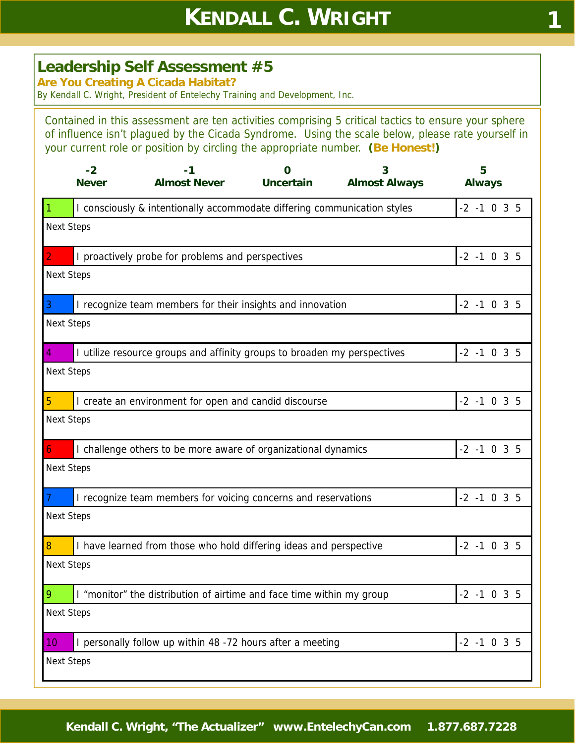## **Leadership Self Assessment #5**

**Are You Creating A Cicada Habitat?** 

By Kendall C. Wright, President of Entelechy Training and Development, Inc.

Contained in this assessment are ten activities comprising 5 critical tactics to ensure your sphere of influence isn't plagued by the Cicada Syndrome. Using the scale below, please rate yourself in your current role or position by circling the appropriate number. **(Be Honest!)**

|                   | $-2$<br><b>Never</b> | -1<br><b>Almost Never</b>                                                | 0<br><b>Uncertain</b> | 3<br><b>Almost Always</b> | 5<br><b>Always</b> |
|-------------------|----------------------|--------------------------------------------------------------------------|-----------------------|---------------------------|--------------------|
| -1                |                      | I consciously & intentionally accommodate differing communication styles |                       |                           | $-2$ $-1$ 0 3 5    |
| <b>Next Steps</b> |                      |                                                                          |                       |                           |                    |
| $\overline{2}$    |                      | I proactively probe for problems and perspectives                        |                       |                           | $-2$ $-1$ 0 3 5    |
| <b>Next Steps</b> |                      |                                                                          |                       |                           |                    |
| 3                 |                      | I recognize team members for their insights and innovation               |                       |                           | $-2$ $-1$ 0 3 5    |
| <b>Next Steps</b> |                      |                                                                          |                       |                           |                    |
| 4                 |                      | I utilize resource groups and affinity groups to broaden my perspectives |                       |                           | $-2$ $-1$ 0 3 5    |
| <b>Next Steps</b> |                      |                                                                          |                       |                           |                    |
| $\overline{5}$    |                      | I create an environment for open and candid discourse                    |                       |                           | $-2$ $-1$ 0 3 5    |
| <b>Next Steps</b> |                      |                                                                          |                       |                           |                    |
| 6                 |                      | I challenge others to be more aware of organizational dynamics           |                       |                           | $-2$ $-1$ 0 3 5    |
| <b>Next Steps</b> |                      |                                                                          |                       |                           |                    |
|                   |                      | I recognize team members for voicing concerns and reservations           |                       |                           | $-2$ $-1$ 0 3 5    |
| <b>Next Steps</b> |                      |                                                                          |                       |                           |                    |
| 8                 |                      | I have learned from those who hold differing ideas and perspective       |                       |                           | $-2$ $-1$ 0 3 5    |
| <b>Next Steps</b> |                      |                                                                          |                       |                           |                    |
| 9                 |                      | I "monitor" the distribution of airtime and face time within my group    |                       |                           | $-2$ $-1$ 0 3 5    |
| <b>Next Steps</b> |                      |                                                                          |                       |                           |                    |
| 10                |                      | I personally follow up within 48 -72 hours after a meeting               |                       |                           | $-2$ $-1$ 0 3 5    |
| <b>Next Steps</b> |                      |                                                                          |                       |                           |                    |